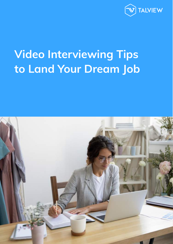

# **Video Interviewing Tips to Land Your Dream Job**

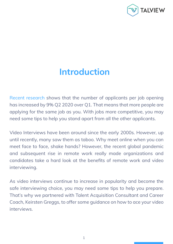

## **Introduction**

[Recent research](https://www.icims.com/resources/2020-insights-july-snapshot/) shows that the number of applicants per job opening has increased by 9% Q2 2020 over Q1. That means that more people are applying for the same job as you. With jobs more competitive, you may need some tips to help you stand apart from all the other applicants.

Video Interviews have been around since the early 2000s. However, up until recently, many saw them as taboo. Why meet online when you can meet face to face, shake hands? However, the recent global pandemic and subsequent rise in remote work really made organizations and candidates take a hard look at the benefits of remote work and video interviewing.

As video interviews continue to increase in popularity and become the safe interviewing choice, you may need some tips to help you prepare. That's why we partnered with Talent Acquisition Consultant and Career Coach, Keirsten Greggs, to offer some guidance on how to ace your video interviews.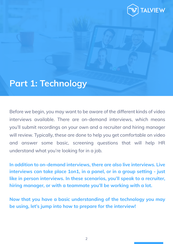

### **Part 1: Technology**

Before we begin, you may want to be aware of the different kinds of video interviews available. There are on-demand interviews, which means you'll submit recordings on your own and a recruiter and hiring manager will review. Typically, these are done to help you get comfortable on video and answer some basic, screening questions that will help HR understand what you're looking for in a job.

**In addition to on-demand interviews, there are also live interviews. Live interviews can take place 1on1, in a panel, or in a group setting - just like in person interviews. In these scenarios, you'll speak to a recruiter, hiring manager, or with a teammate you'll be working with a lot.** 

**Now that you have a basic understanding of the technology you may be using, let's jump into how to prepare for the interview!**

2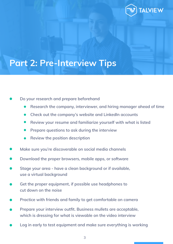

# **Part 2: Pre-Interview Tips**

#### **Do your research and prepare beforehand**

- **Research the company, interviewer, and hiring manager ahead of time**
- **Check out the company's website and LinkedIn accounts**
- **Review your resume and familiarize yourself with what is listed**
- **Prepare questions to ask during the interview**
- **Review the position description**
- **Make sure you're discoverable on social media channels**
- **Download the proper browsers, mobile apps, or software**
- **Stage your area have a clean background or if available, use a virtual background**
- **Get the proper equipment, if possible use headphones to cut down on the noise**
- **Practice with friends and family to get comfortable on camera**
- **Prepare your interview outfit. Business mullets are acceptable, which is dressing for what is viewable on the video interview**
- **Log in early to test equipment and make sure everything is working**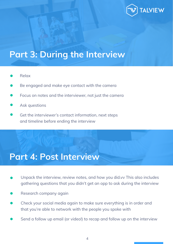

## **Part 3: During the Interview**

- Relax
- Be engaged and make eye contact with the camera
- Focus on notes and the interviewer, not just the camera
- Ask questions
- Get the interviewer's contact information, next steps and timeline before ending the interview

### **Part 4: Post Interview**

- Unpack the interview, review notes, and how you did.vv This also includes gathering questions that you didn't get an opp to ask during the interview
- Research company again
- Check your social media again to make sure everything is in order and that you're able to network with the people you spoke with
- Send a follow up email (or video!) to recap and follow up on the interview